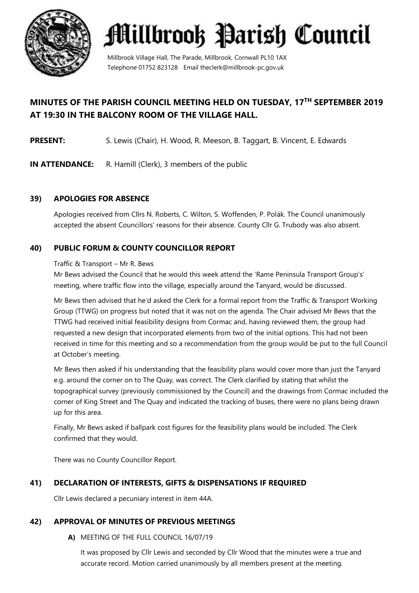

Millbrook Village Hall, The Parade, Millbrook, Cornwall PL10 1AX Telephone 01752 823128 Email theclerk@millbrook-pc.gov.uk

# **MINUTES OF THE PARISH COUNCIL MEETING HELD ON TUESDAY, 17 TH SEPTEMBER 2019 AT 19:30 IN THE BALCONY ROOM OF THE VILLAGE HALL.**

**PRESENT:** S. Lewis (Chair), H. Wood, R. Meeson, B. Taggart, B. Vincent, E. Edwards

**IN ATTENDANCE:** R. Hamill (Clerk), 3 members of the public

# **39) APOLOGIES FOR ABSENCE**

Apologies received from Cllrs N. Roberts, C. Wilton, S. Woffenden, P. Polák. The Council unanimously accepted the absent Councillors' reasons for their absence. County Cllr G. Trubody was also absent.

# **40) PUBLIC FORUM & COUNTY COUNCILLOR REPORT**

#### Traffic & Transport – Mr R. Bews

Mr Bews advised the Council that he would this week attend the 'Rame Peninsula Transport Group's' meeting, where traffic flow into the village, especially around the Tanyard, would be discussed.

Mr Bews then advised that he'd asked the Clerk for a formal report from the Traffic & Transport Working Group (TTWG) on progress but noted that it was not on the agenda. The Chair advised Mr Bews that the TTWG had received initial feasibility designs from Cormac and, having reviewed them, the group had requested a new design that incorporated elements from two of the initial options. This had not been received in time for this meeting and so a recommendation from the group would be put to the full Council at October's meeting.

Mr Bews then asked if his understanding that the feasibility plans would cover more than just the Tanyard e.g. around the corner on to The Quay, was correct. The Clerk clarified by stating that whilst the topographical survey (previously commissioned by the Council) and the drawings from Cormac included the corner of King Street and The Quay and indicated the tracking of buses, there were no plans being drawn up for this area.

Finally, Mr Bews asked if ballpark cost figures for the feasibility plans would be included. The Clerk confirmed that they would.

There was no County Councillor Report.

### **41) DECLARATION OF INTERESTS, GIFTS & DISPENSATIONS IF REQUIRED**

Cllr Lewis declared a pecuniary interest in item 44A.

### **42) APPROVAL OF MINUTES OF PREVIOUS MEETINGS**

**A)** MEETING OF THE FULL COUNCIL 16/07/19

It was proposed by Cllr Lewis and seconded by Cllr Wood that the minutes were a true and accurate record. Motion carried unanimously by all members present at the meeting.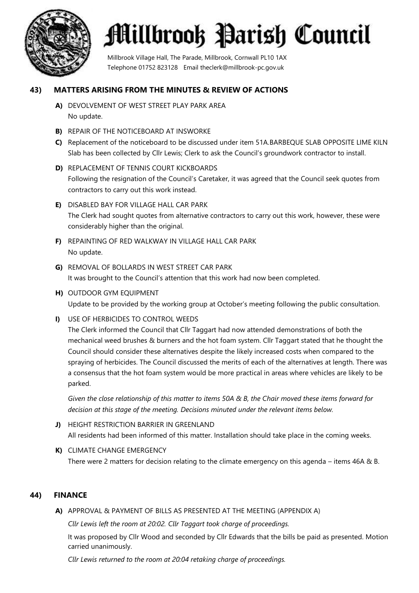

Millbrook Village Hall, The Parade, Millbrook, Cornwall PL10 1AX Telephone 01752 823128 Email theclerk@millbrook-pc.gov.uk

#### **43) MATTERS ARISING FROM THE MINUTES & REVIEW OF ACTIONS**

- **A)** DEVOLVEMENT OF WEST STREET PLAY PARK AREA No update.
- **B)** REPAIR OF THE NOTICEBOARD AT INSWORKE
- **C)** Replacement of the noticeboard to be discussed under item 51A.BARBEQUE SLAB OPPOSITE LIME KILN Slab has been collected by Cllr Lewis; Clerk to ask the Council's groundwork contractor to install.
- **D)** REPLACEMENT OF TENNIS COURT KICKBOARDS Following the resignation of the Council's Caretaker, it was agreed that the Council seek quotes from contractors to carry out this work instead.
- **E)** DISABLED BAY FOR VILLAGE HALL CAR PARK The Clerk had sought quotes from alternative contractors to carry out this work, however, these were considerably higher than the original.
- **F)** REPAINTING OF RED WALKWAY IN VILLAGE HALL CAR PARK No update.
- **G)** REMOVAL OF BOLLARDS IN WEST STREET CAR PARK It was brought to the Council's attention that this work had now been completed.
- **H)** OUTDOOR GYM EQUIPMENT Update to be provided by the working group at October's meeting following the public consultation.
- **I)** USE OF HERBICIDES TO CONTROL WEEDS

The Clerk informed the Council that Cllr Taggart had now attended demonstrations of both the mechanical weed brushes & burners and the hot foam system. Cllr Taggart stated that he thought the Council should consider these alternatives despite the likely increased costs when compared to the spraying of herbicides. The Council discussed the merits of each of the alternatives at length. There was a consensus that the hot foam system would be more practical in areas where vehicles are likely to be parked.

*Given the close relationship of this matter to items 50A & B, the Chair moved these items forward for decision at this stage of the meeting. Decisions minuted under the relevant items below.*

- **J)** HEIGHT RESTRICTION BARRIER IN GREENLAND All residents had been informed of this matter. Installation should take place in the coming weeks.
- **K)** CLIMATE CHANGE EMERGENCY There were 2 matters for decision relating to the climate emergency on this agenda – items 46A & B.

#### **44) FINANCE**

**A)** APPROVAL & PAYMENT OF BILLS AS PRESENTED AT THE MEETING (APPENDIX A)

*Cllr Lewis left the room at 20:02. Cllr Taggart took charge of proceedings.*

It was proposed by Cllr Wood and seconded by Cllr Edwards that the bills be paid as presented. Motion carried unanimously.

*Cllr Lewis returned to the room at 20:04 retaking charge of proceedings.*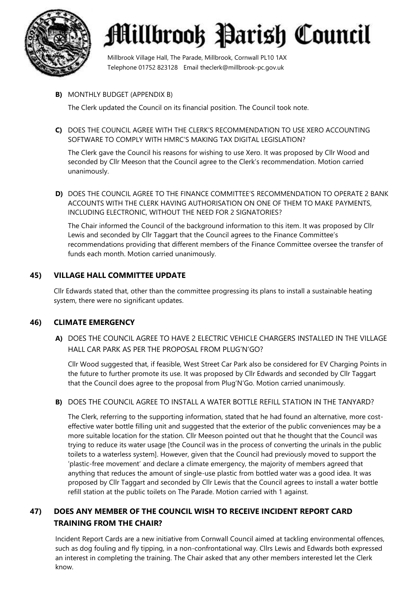

Millbrook Village Hall, The Parade, Millbrook, Cornwall PL10 1AX Telephone 01752 823128 Email theclerk@millbrook-pc.gov.uk

#### **B)** MONTHLY BUDGET (APPENDIX B)

The Clerk updated the Council on its financial position. The Council took note.

**C)** DOES THE COUNCIL AGREE WITH THE CLERK'S RECOMMENDATION TO USE XERO ACCOUNTING SOFTWARE TO COMPLY WITH HMRC'S MAKING TAX DIGITAL LEGISLATION?

The Clerk gave the Council his reasons for wishing to use Xero. It was proposed by Cllr Wood and seconded by Cllr Meeson that the Council agree to the Clerk's recommendation. Motion carried unanimously.

**D)** DOES THE COUNCIL AGREE TO THE FINANCE COMMITTEE'S RECOMMENDATION TO OPERATE 2 BANK ACCOUNTS WITH THE CLERK HAVING AUTHORISATION ON ONE OF THEM TO MAKE PAYMENTS, INCLUDING ELECTRONIC, WITHOUT THE NEED FOR 2 SIGNATORIES?

The Chair informed the Council of the background information to this item. It was proposed by Cllr Lewis and seconded by Cllr Taggart that the Council agrees to the Finance Committee's recommendations providing that different members of the Finance Committee oversee the transfer of funds each month. Motion carried unanimously.

#### **45) VILLAGE HALL COMMITTEE UPDATE**

Cllr Edwards stated that, other than the committee progressing its plans to install a sustainable heating system, there were no significant updates.

#### **46) CLIMATE EMERGENCY**

**A)** DOES THE COUNCIL AGREE TO HAVE 2 ELECTRIC VEHICLE CHARGERS INSTALLED IN THE VILLAGE HALL CAR PARK AS PER THE PROPOSAL FROM PLUG'N'GO?

Cllr Wood suggested that, if feasible, West Street Car Park also be considered for EV Charging Points in the future to further promote its use. It was proposed by Cllr Edwards and seconded by Cllr Taggart that the Council does agree to the proposal from Plug'N'Go. Motion carried unanimously.

#### **B)** DOES THE COUNCIL AGREE TO INSTALL A WATER BOTTLE REFILL STATION IN THE TANYARD?

The Clerk, referring to the supporting information, stated that he had found an alternative, more costeffective water bottle filling unit and suggested that the exterior of the public conveniences may be a more suitable location for the station. Cllr Meeson pointed out that he thought that the Council was trying to reduce its water usage [the Council was in the process of converting the urinals in the public toilets to a waterless system]. However, given that the Council had previously moved to support the 'plastic-free movement' and declare a climate emergency, the majority of members agreed that anything that reduces the amount of single-use plastic from bottled water was a good idea. It was proposed by Cllr Taggart and seconded by Cllr Lewis that the Council agrees to install a water bottle refill station at the public toilets on The Parade. Motion carried with 1 against.

### **47) DOES ANY MEMBER OF THE COUNCIL WISH TO RECEIVE INCIDENT REPORT CARD TRAINING FROM THE CHAIR?**

Incident Report Cards are a new initiative from Cornwall Council aimed at tackling environmental offences, such as dog fouling and fly tipping, in a non-confrontational way. Cllrs Lewis and Edwards both expressed an interest in completing the training. The Chair asked that any other members interested let the Clerk know.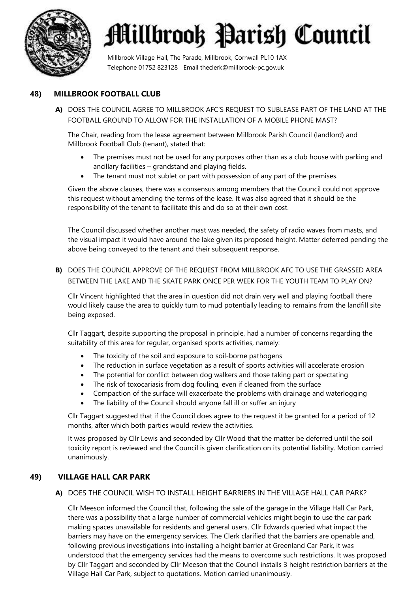

Millbrook Village Hall, The Parade, Millbrook, Cornwall PL10 1AX Telephone 01752 823128 Email theclerk@millbrook-pc.gov.uk

#### **48) MILLBROOK FOOTBALL CLUB**

**A)** DOES THE COUNCIL AGREE TO MILLBROOK AFC'S REQUEST TO SUBLEASE PART OF THE LAND AT THE FOOTBALL GROUND TO ALLOW FOR THE INSTALLATION OF A MOBILE PHONE MAST?

The Chair, reading from the lease agreement between Millbrook Parish Council (landlord) and Millbrook Football Club (tenant), stated that:

- The premises must not be used for any purposes other than as a club house with parking and ancillary facilities – grandstand and playing fields.
- The tenant must not sublet or part with possession of any part of the premises.

Given the above clauses, there was a consensus among members that the Council could not approve this request without amending the terms of the lease. It was also agreed that it should be the responsibility of the tenant to facilitate this and do so at their own cost.

The Council discussed whether another mast was needed, the safety of radio waves from masts, and the visual impact it would have around the lake given its proposed height. Matter deferred pending the above being conveyed to the tenant and their subsequent response.

**B)** DOES THE COUNCIL APPROVE OF THE REQUEST FROM MILLBROOK AFC TO USE THE GRASSED AREA BETWEEN THE LAKE AND THE SKATE PARK ONCE PER WEEK FOR THE YOUTH TEAM TO PLAY ON?

Cllr Vincent highlighted that the area in question did not drain very well and playing football there would likely cause the area to quickly turn to mud potentially leading to remains from the landfill site being exposed.

Cllr Taggart, despite supporting the proposal in principle, had a number of concerns regarding the suitability of this area for regular, organised sports activities, namely:

- The toxicity of the soil and exposure to soil-borne pathogens
- The reduction in surface vegetation as a result of sports activities will accelerate erosion
- The potential for conflict between dog walkers and those taking part or spectating
- The risk of toxocariasis from dog fouling, even if cleaned from the surface
- Compaction of the surface will exacerbate the problems with drainage and waterlogging
- The liability of the Council should anyone fall ill or suffer an injury

Cllr Taggart suggested that if the Council does agree to the request it be granted for a period of 12 months, after which both parties would review the activities.

It was proposed by Cllr Lewis and seconded by Cllr Wood that the matter be deferred until the soil toxicity report is reviewed and the Council is given clarification on its potential liability. Motion carried unanimously.

#### **49) VILLAGE HALL CAR PARK**

#### **A)** DOES THE COUNCIL WISH TO INSTALL HEIGHT BARRIERS IN THE VILLAGE HALL CAR PARK?

Cllr Meeson informed the Council that, following the sale of the garage in the Village Hall Car Park, there was a possibility that a large number of commercial vehicles might begin to use the car park making spaces unavailable for residents and general users. Cllr Edwards queried what impact the barriers may have on the emergency services. The Clerk clarified that the barriers are openable and, following previous investigations into installing a height barrier at Greenland Car Park, it was understood that the emergency services had the means to overcome such restrictions. It was proposed by Cllr Taggart and seconded by Cllr Meeson that the Council installs 3 height restriction barriers at the Village Hall Car Park, subject to quotations. Motion carried unanimously.